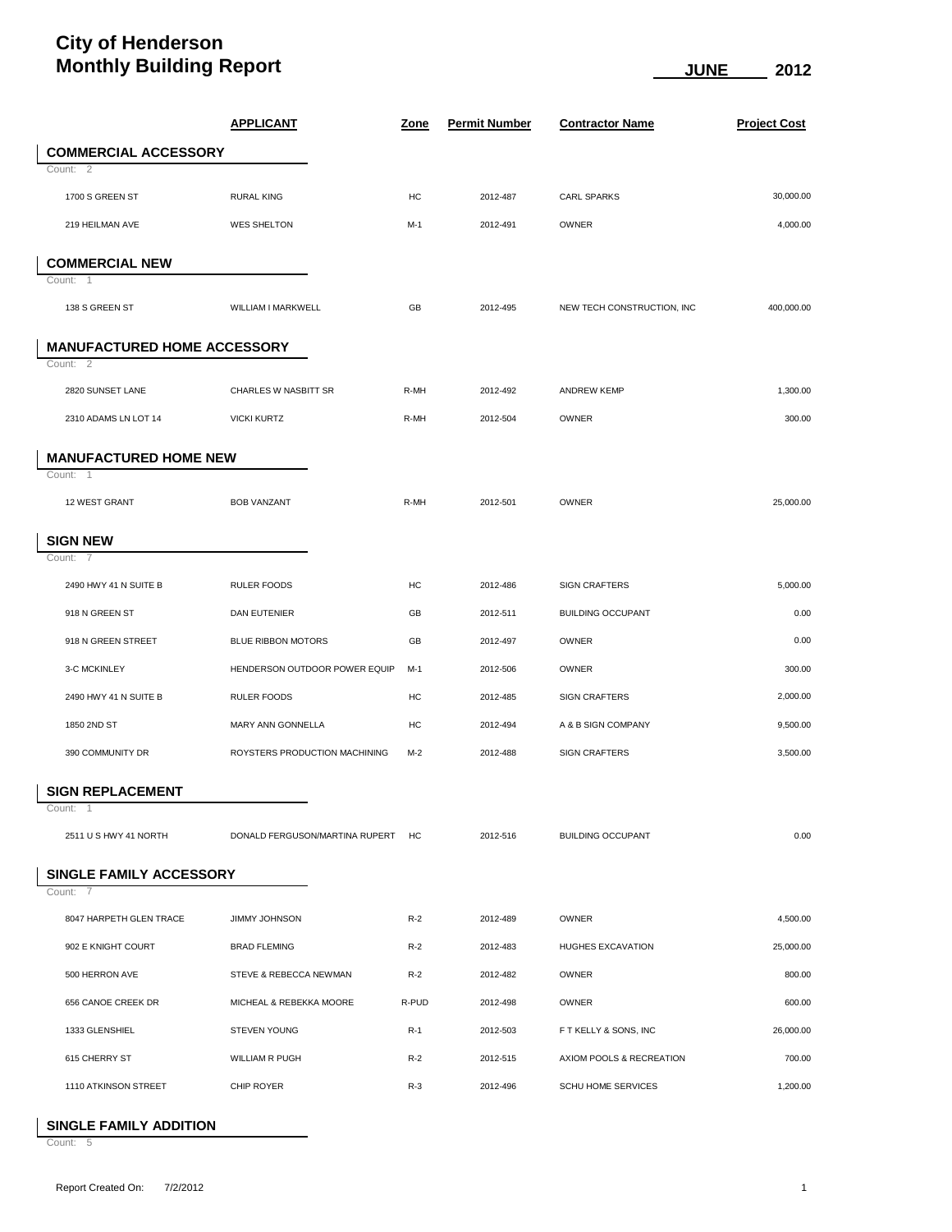## **City of Henderson Monthly Building Report CONFIDENTIAL CONFIDENT CONFIDENT CONFIDENTIAL CONFIDENT CONFIDENTIAL CONFIDENTIAL CONFIDENTIAL CONFIDENTIAL CONFIDENTIAL CONFIDENTIAL CONFIDENTIAL CONFIDENTIAL CONFIDENTIAL CONFIDENTIAL CONFIDENT**

|                                    | <b>APPLICANT</b>                  | <u>Zone</u> | <b>Permit Number</b> | <b>Contractor Name</b>     | <b>Project Cost</b> |
|------------------------------------|-----------------------------------|-------------|----------------------|----------------------------|---------------------|
| <b>COMMERCIAL ACCESSORY</b>        |                                   |             |                      |                            |                     |
| Count: 2                           |                                   |             |                      |                            |                     |
| 1700 S GREEN ST                    | <b>RURAL KING</b>                 | HC          | 2012-487             | <b>CARL SPARKS</b>         | 30,000.00           |
| 219 HEILMAN AVE                    | <b>WES SHELTON</b>                | $M-1$       | 2012-491             | <b>OWNER</b>               | 4,000.00            |
| <b>COMMERCIAL NEW</b>              |                                   |             |                      |                            |                     |
| Count: 1                           |                                   |             |                      |                            |                     |
| 138 S GREEN ST                     | WILLIAM I MARKWELL                | GB          | 2012-495             | NEW TECH CONSTRUCTION, INC | 400,000.00          |
| <b>MANUFACTURED HOME ACCESSORY</b> |                                   |             |                      |                            |                     |
| Count: 2                           |                                   |             |                      |                            |                     |
| 2820 SUNSET LANE                   | CHARLES W NASBITT SR              | R-MH        | 2012-492             | <b>ANDREW KEMP</b>         | 1,300.00            |
| 2310 ADAMS LN LOT 14               | <b>VICKI KURTZ</b>                | R-MH        | 2012-504             | <b>OWNER</b>               | 300.00              |
| <b>MANUFACTURED HOME NEW</b>       |                                   |             |                      |                            |                     |
| Count: 1                           |                                   |             |                      |                            |                     |
| 12 WEST GRANT                      | <b>BOB VANZANT</b>                | R-MH        | 2012-501             | <b>OWNER</b>               | 25,000.00           |
| <b>SIGN NEW</b>                    |                                   |             |                      |                            |                     |
| Count: 7                           |                                   |             |                      |                            |                     |
| 2490 HWY 41 N SUITE B              | <b>RULER FOODS</b>                | HC          | 2012-486             | <b>SIGN CRAFTERS</b>       | 5,000.00            |
| 918 N GREEN ST                     | DAN EUTENIER                      | GB          | 2012-511             | <b>BUILDING OCCUPANT</b>   | 0.00                |
| 918 N GREEN STREET                 | <b>BLUE RIBBON MOTORS</b>         | GB          | 2012-497             | OWNER                      | 0.00                |
| 3-C MCKINLEY                       | HENDERSON OUTDOOR POWER EQUIP     | $M-1$       | 2012-506             | OWNER                      | 300.00              |
| 2490 HWY 41 N SUITE B              | <b>RULER FOODS</b>                | HC          | 2012-485             | <b>SIGN CRAFTERS</b>       | 2,000.00            |
| 1850 2ND ST                        | MARY ANN GONNELLA                 | HC          | 2012-494             | A & B SIGN COMPANY         | 9,500.00            |
| 390 COMMUNITY DR                   | ROYSTERS PRODUCTION MACHINING     | $M-2$       | 2012-488             | <b>SIGN CRAFTERS</b>       | 3,500.00            |
| <b>SIGN REPLACEMENT</b>            |                                   |             |                      |                            |                     |
| Count:<br>$\overline{1}$           |                                   |             |                      |                            |                     |
| 2511 U S HWY 41 NORTH              | DONALD FERGUSON/MARTINA RUPERT HC |             | 2012-516             | <b>BUILDING OCCUPANT</b>   | 0.00                |
| SINGLE FAMILY ACCESSORY            |                                   |             |                      |                            |                     |
| Count: 7                           |                                   |             |                      |                            |                     |
| 8047 HARPETH GLEN TRACE            | JIMMY JOHNSON                     | $R-2$       | 2012-489             | OWNER                      | 4,500.00            |
| 902 E KNIGHT COURT                 | <b>BRAD FLEMING</b>               | $R-2$       | 2012-483             | HUGHES EXCAVATION          | 25,000.00           |
| 500 HERRON AVE                     | STEVE & REBECCA NEWMAN            | $R-2$       | 2012-482             | <b>OWNER</b>               | 800.00              |
| 656 CANOE CREEK DR                 | MICHEAL & REBEKKA MOORE           | R-PUD       | 2012-498             | OWNER                      | 600.00              |
| 1333 GLENSHIEL                     | <b>STEVEN YOUNG</b>               | $R-1$       | 2012-503             | F T KELLY & SONS, INC      | 26,000.00           |
| 615 CHERRY ST                      | <b>WILLIAM R PUGH</b>             | $R-2$       | 2012-515             | AXIOM POOLS & RECREATION   | 700.00              |
| 1110 ATKINSON STREET               | CHIP ROYER                        | $R-3$       | 2012-496             | <b>SCHU HOME SERVICES</b>  | 1,200.00            |

## **SINGLE FAMILY ADDITION**

Count: 5